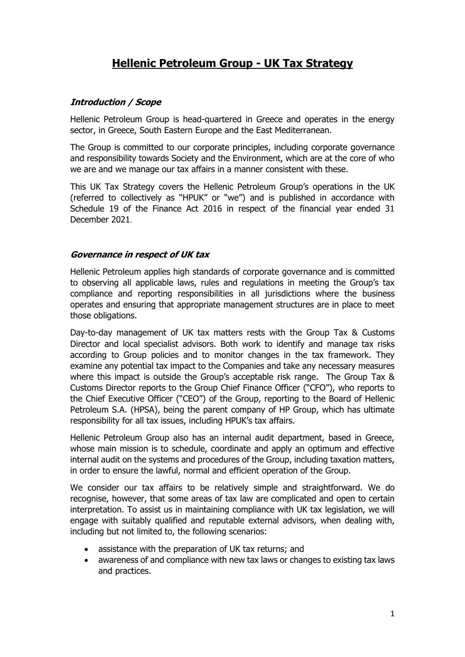# **Hellenic Petroleum Group - UK Tax Strategy**

### **Introduction / Scope**

Hellenic Petroleum Group is head-quartered in Greece and operates in the energy sector, in Greece, South Eastern Europe and the East Mediterranean.

The Group is committed to our corporate principles, including corporate governance and responsibility towards Society and the Environment, which are at the core of who we are and we manage our tax affairs in a manner consistent with these.

This UK Tax Strategy covers the Hellenic Petroleum Group's operations in the UK (referred to collectively as "HPUK" or "we") and is published in accordance with Schedule 19 of the Finance Act 2016 in respect of the financial year ended 31 December 2021.

#### **Governance in respect of UK tax**

Hellenic Petroleum applies high standards of corporate governance and is committed to observing all applicable laws, rules and regulations in meeting the Group's tax compliance and reporting responsibilities in all jurisdictions where the business operates and ensuring that appropriate management structures are in place to meet those obligations.

Day-to-day management of UK tax matters rests with the Group Tax & Customs Director and local specialist advisors. Both work to identify and manage tax risks according to Group policies and to monitor changes in the tax framework. They examine any potential tax impact to the Companies and take any necessary measures where this impact is outside the Group's acceptable risk range. The Group Tax & Customs Director reports to the Group Chief Finance Officer ("CFO"), who reports to the Chief Executive Officer ("CEO") of the Group, reporting to the Board of Hellenic Petroleum S.A. (HPSA), being the parent company of HP Group, which has ultimate responsibility for all tax issues, including HPUK's tax affairs.

Hellenic Petroleum Group also has an internal audit department, based in Greece, whose main mission is to schedule, coordinate and apply an optimum and effective internal audit on the systems and procedures of the Group, including taxation matters, in order to ensure the lawful, normal and efficient operation of the Group.

We consider our tax affairs to be relatively simple and straightforward. We do recognise, however, that some areas of tax law are complicated and open to certain interpretation. To assist us in maintaining compliance with UK tax legislation, we will engage with suitably qualified and reputable external advisors, when dealing with, including but not limited to, the following scenarios:

- assistance with the preparation of UK tax returns; and
- awareness of and compliance with new tax laws or changes to existing tax laws and practices.